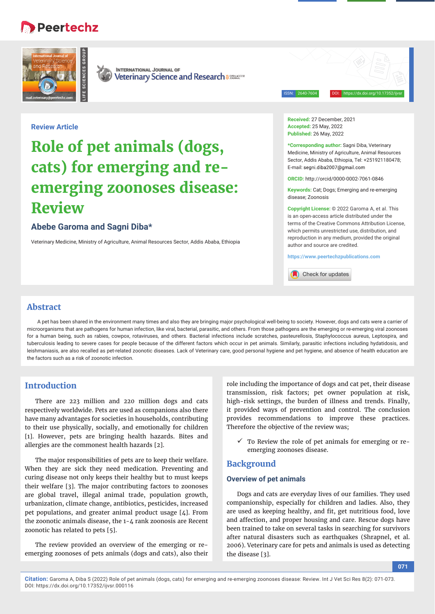## Peertechz





**INTERNATIONAL JOURNAL OF** Veterinary Science and Research a 885846055

ISSN: 2640-7604 DOI: https://dx.doi.org/10.17352/ijvsr

## **Review Article**

# **Role of pet animals (dogs, cats) for emerging and reemerging zoonoses disease: Review**

## **Abebe Garoma and Sagni Diba\***

Veterinary Medicine, Ministry of Agriculture, Animal Resources Sector, Addis Ababa, Ethiopia

**Received:** 27 December, 2021 **Accepted:** 25 May, 2022 **Published:** 26 May, 2022

**\*Corresponding author:** Sagni Diba, Veterinary Medicine, Ministry of Agriculture, Animal Resources Sector, Addis Ababa, Ethiopia, Tel: +251921180478; E-mail: segni.diba2007@gmail.com

**ORCID:** http://orcid/0000-0002-7061-0846

**Keywords:** Cat; Dogs; Emerging and re-emerging disease; Zoonosis

**Copyright License:** © 2022 Garoma A, et al. This is an open-access article distributed under the terms of the Creative Commons Attribution License, which permits unrestricted use, distribution, and reproduction in any medium, provided the original author and source are credited.

**https://www.peertechzpublications.com**

Check for updates

## **Abstract**

A pet has been shared in the environment many times and also they are bringing major psychological well-being to society. However, dogs and cats were a carrier of microorganisms that are pathogens for human infection, like viral, bacterial, parasitic, and others. From those pathogens are the emerging or re-emerging viral zoonoses for a human being, such as rabies, cowpox, rotaviruses, and others. Bacterial infections include scratches, pasteurellosis, Staphylococcus aureus, Leptospira, and tuberculosis leading to severe cases for people because of the different factors which occur in pet animals. Similarly, parasitic infections including hydatidosis, and leishmaniasis, are also recalled as pet-related zoonotic diseases. Lack of Veterinary care, good personal hygiene and pet hygiene, and absence of health education are the factors such as a risk of zoonotic infection.

## **Introduction**

There are 223 million and 220 million dogs and cats respectively worldwide. Pets are used as companions also there have many advantages for societies in households, contributing to their use physically, socially, and emotionally for children [1]. However, pets are bringing health hazards. Bites and allergies are the commonest health hazards [2].

The major responsibilities of pets are to keep their welfare. When they are sick they need medication. Preventing and curing disease not only keeps their healthy but to must keeps their welfare [3]. The major contributing factors to zoonoses are global travel, illegal animal trade, population growth, urbanization, climate change, antibiotics, pesticides, increased pet populations, and greater animal product usage [4]. From the zoonotic animals disease, the 1-4 rank zoonosis are Recent zoonotic has related to pets [5].

The review provided an overview of the emerging or reemerging zoonoses of pets animals (dogs and cats), also their role including the importance of dogs and cat pet, their disease transmission, risk factors; pet owner population at risk, high-risk settings, the burden of illness and trends. Finally, it provided ways of prevention and control. The conclusion provides recommendations to improve these practices. Therefore the objective of the review was;

 To Review the role of pet animals for emerging or reemerging zoonoses disease.

## **Background**

#### **Overview of pet animals**

Dogs and cats are everyday lives of our families. They used companionship, especially for children and ladies. Also, they are used as keeping healthy, and fit, get nutritious food, love and affection, and proper housing and care. Rescue dogs have been trained to take on several tasks in searching for survivors after natural disasters such as earthquakes (Shrapnel, et al. 2006). Veterinary care for pets and animals is used as detecting the disease [3].

**Citation:** Garoma A, Diba S (2022) Role of pet animals (dogs, cats) for emerging and re-emerging zoonoses disease: Review. Int J Vet Sci Res 8(2): 071-073. DOI: https://dx.doi.org/10.17352/ijvsr.000116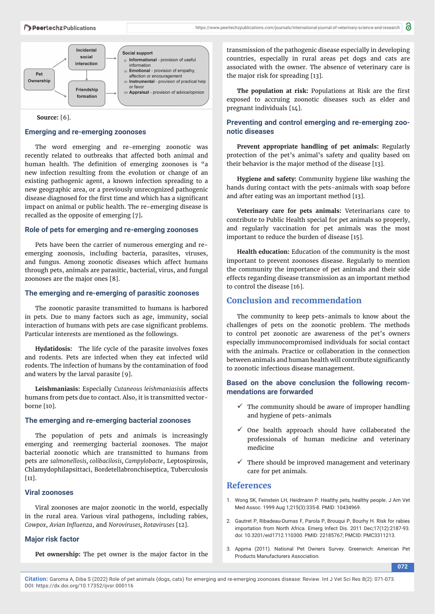#### Peertechz Publications



 **Source:** [6].

#### **Emerging and re-emerging zoonoses**

The word emerging and re-emerging zoonotic was recently related to outbreaks that affected both animal and human health. The definition of emerging zoonoses is "a new infection resulting from the evolution or change of an existing pathogenic agent, a known infection spreading to a new geographic area, or a previously unrecognized pathogenic disease diagnosed for the first time and which has a significant impact on animal or public health. The re-emerging disease is recalled as the opposite of emerging [7]**.**

## **Role of pets for emerging and re-emerging zoonoses**

Pets have been the carrier of numerous emerging and reemerging zoonosis, including bacteria, parasites, viruses, and fungus. Among zoonotic diseases which affect humans through pets, animals are parasitic, bacterial, virus, and fungal zoonoses are the major ones [8].

#### **The emerging and re-emerging of parasitic zoonoses**

The zoonotic parasite transmitted to humans is harbored in pets. Due to many factors such as age, immunity, social interaction of humans with pets are case significant problems. Particular interests are mentioned as the followings.

**Hydatidosis:** The life cycle of the parasite involves foxes and rodents. Pets are infected when they eat infected wild rodents. The infection of humans by the contamination of food and waters by the larval parasite [9].

**Leishmaniasis:** Especially *Cutaneous leishmaniasis*is affects humans from pets due to contact. Also, it is transmitted vectorborne [10].

#### **The emerging and re-emerging bacterial zoonoses**

The population of pets and animals is increasingly emerging and reemerging bacterial zoonoses. The major bacterial zoonotic which are transmitted to humans from pets are *salmonellosis, colibacilosis, Campylobacte*, Leptospirosis, Chlamydophilapsittaci, Bordetellabronchiseptica, Tuberculosis  $[11]$ .

#### **Viral zoonoses**

Viral zoonoses are major zoonotic in the world, especially in the rural area. Various viral pathogens, including rabies, *Cowpox*, *Avian Infl uenza*, and *Noroviruses, Rotaviruses* [12].

#### **Major risk factor**

**Pet ownership:** The pet owner is the major factor in the

transmission of the pathogenic disease especially in developing countries, especially in rural areas pet dogs and cats are associated with the owner. The absence of veterinary care is the major risk for spreading [13].

The population at risk: Populations at Risk are the first exposed to accruing zoonotic diseases such as elder and pregnant individuals [14].

## **Preventing and control emerging and re-emerging zoonotic diseases**

**Prevent appropriate handling of pet animals:** Regularly protection of the pet's animal's safety and quality based on their behavior is the major method of the disease [13].

**Hygiene and safety:** Community hygiene like washing the hands during contact with the pets-animals with soap before and after eating was an important method [13].

**Veterinary care for pets animals:** Veterinarians care to contribute to Public Health special for pet animals so properly, and regularly vaccination for pet animals was the most important to reduce the burden of disease [15].

**Health education:** Education of the community is the most important to prevent zoonoses disease. Regularly to mention the community the importance of pet animals and their side effects regarding disease transmission as an important method to control the disease [16].

## **Conclusion and recommendation**

The community to keep pets-animals to know about the challenges of pets on the zoonotic problem. The methods to control pet zoonotic are awareness of the pet's owners especially immunocompromised individuals for social contact with the animals. Practice or collaboration in the connection between animals and human health will contribute significantly to zoonotic infectious disease management.

## **Based on the above conclusion the following recommendations are forwarded**

- $\checkmark$  The community should be aware of improper handling and hygiene of pets-animals
- $\checkmark$  One health approach should have collaborated the professionals of human medicine and veterinary medicine
- There should be improved management and veterinary care for pet animals.

#### **References**

- 1. Wong SK, Feinstein LH, Heidmann P. Healthy pets, healthy people. J Am Vet Med Assoc. 1999 Aug 1;215(3):335-8. PMID: 10434969.
- 2. Gautret P, Ribadeau-Dumas F, Parola P, Brouqui P, Bourhy H. Risk for rabies importation from North Africa. Emerg Infect Dis. 2011 Dec;17(12):2187-93. doi: 10.3201/eid1712.110300. PMID: 22185767; PMCID: PMC3311213.
- 3. Appma (2011). National Pet Owners Survey. Greenwich: American Pet Products Manufacturers Association.

**072**

**Citation:** Garoma A, Diba S (2022) Role of pet animals (dogs, cats) for emerging and re-emerging zoonoses disease: Review. Int J Vet Sci Res 8(2): 071-073. DOI: https://dx.doi.org/10.17352/ijvsr.000116